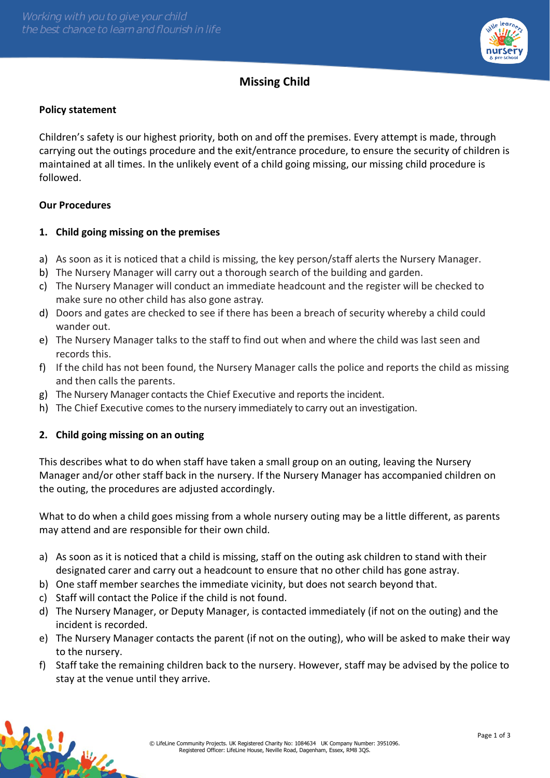

# **Missing Child**

### **Policy statement**

Children's safety is our highest priority, both on and off the premises. Every attempt is made, through carrying out the outings procedure and the exit/entrance procedure, to ensure the security of children is maintained at all times. In the unlikely event of a child going missing, our missing child procedure is followed.

### **Our Procedures**

### **1. Child going missing on the premises**

- a) As soon as it is noticed that a child is missing, the key person/staff alerts the Nursery Manager.
- b) The Nursery Manager will carry out a thorough search of the building and garden.
- c) The Nursery Manager will conduct an immediate headcount and the register will be checked to make sure no other child has also gone astray.
- d) Doors and gates are checked to see if there has been a breach of security whereby a child could wander out.
- e) The Nursery Manager talks to the staff to find out when and where the child was last seen and records this.
- f) If the child has not been found, the Nursery Manager calls the police and reports the child as missing and then calls the parents.
- g) The Nursery Manager contacts the Chief Executive and reports the incident.
- h) The Chief Executive comesto the nursery immediately to carry out an investigation.

# **2. Child going missing on an outing**

This describes what to do when staff have taken a small group on an outing, leaving the Nursery Manager and/or other staff back in the nursery. If the Nursery Manager has accompanied children on the outing, the procedures are adjusted accordingly.

What to do when a child goes missing from a whole nursery outing may be a little different, as parents may attend and are responsible for their own child.

- a) As soon as it is noticed that a child is missing, staff on the outing ask children to stand with their designated carer and carry out a headcount to ensure that no other child has gone astray.
- b) One staff member searches the immediate vicinity, but does not search beyond that.
- c) Staff will contact the Police if the child is not found.
- d) The Nursery Manager, or Deputy Manager, is contacted immediately (if not on the outing) and the incident is recorded.
- e) The Nursery Manager contacts the parent (if not on the outing), who will be asked to make their way to the nursery.
- f) Staff take the remaining children back to the nursery. However, staff may be advised by the police to stay at the venue until they arrive.

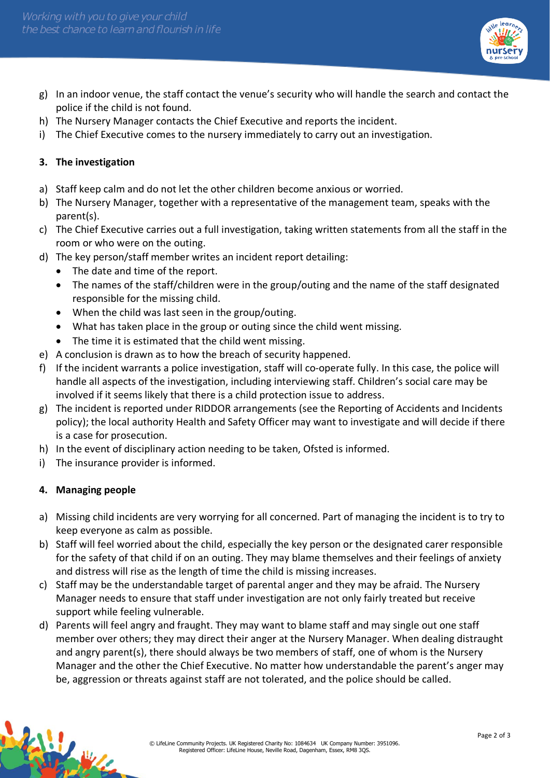

- g) In an indoor venue, the staff contact the venue's security who will handle the search and contact the police if the child is not found.
- h) The Nursery Manager contacts the Chief Executive and reports the incident.
- i) The Chief Executive comes to the nursery immediately to carry out an investigation.

### **3. The investigation**

- a) Staff keep calm and do not let the other children become anxious or worried.
- b) The Nursery Manager, together with a representative of the management team, speaks with the parent(s).
- c) The Chief Executive carries out a full investigation, taking written statements from all the staff in the room or who were on the outing.
- d) The key person/staff member writes an incident report detailing:
	- The date and time of the report.
	- The names of the staff/children were in the group/outing and the name of the staff designated responsible for the missing child.
	- When the child was last seen in the group/outing.
	- What has taken place in the group or outing since the child went missing.
	- The time it is estimated that the child went missing.
- e) A conclusion is drawn as to how the breach of security happened.
- f) If the incident warrants a police investigation, staff will co-operate fully. In this case, the police will handle all aspects of the investigation, including interviewing staff. Children's social care may be involved if it seems likely that there is a child protection issue to address.
- g) The incident is reported under RIDDOR arrangements (see the Reporting of Accidents and Incidents policy); the local authority Health and Safety Officer may want to investigate and will decide if there is a case for prosecution.
- h) In the event of disciplinary action needing to be taken, Ofsted is informed.
- i) The insurance provider is informed.

# **4. Managing people**

- a) Missing child incidents are very worrying for all concerned. Part of managing the incident is to try to keep everyone as calm as possible.
- b) Staff will feel worried about the child, especially the key person or the designated carer responsible for the safety of that child if on an outing. They may blame themselves and their feelings of anxiety and distress will rise as the length of time the child is missing increases.
- c) Staff may be the understandable target of parental anger and they may be afraid. The Nursery Manager needs to ensure that staff under investigation are not only fairly treated but receive support while feeling vulnerable.
- d) Parents will feel angry and fraught. They may want to blame staff and may single out one staff member over others; they may direct their anger at the Nursery Manager. When dealing distraught and angry parent(s), there should always be two members of staff, one of whom is the Nursery Manager and the other the Chief Executive. No matter how understandable the parent's anger may be, aggression or threats against staff are not tolerated, and the police should be called.